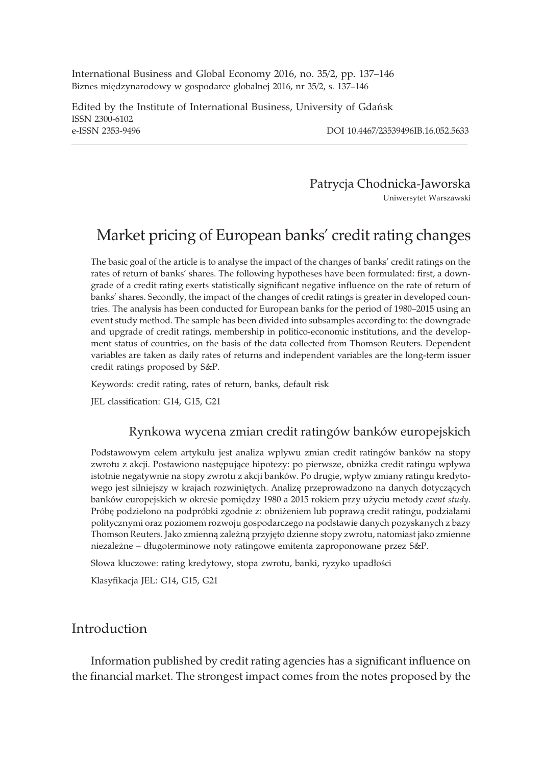International Business and Global Economy 2016, no. 35/2, pp. 137–146 Biznes międzynarodowy w gospodarce globalnej 2016, nr 35/2, s. 137–146

Edited by the Institute of International Business, University of Gdañsk ISSN 2300-6102 e-ISSN 2353-9496 DOI 10.4467/23539496IB.16.052.5633

Patrycja Chodnicka-Jaworska Uniwersytet Warszawski

# Market pricing of European banks' credit rating changes

The basic goal of the article is to analyse the impact of the changes of banks' credit ratings on the rates of return of banks' shares. The following hypotheses have been formulated: first, a downgrade of a credit rating exerts statistically significant negative influence on the rate of return of banks' shares. Secondly, the impact of the changes of credit ratings is greater in developed countries. The analysis has been conducted for European banks for the period of 1980–2015 using an event study method. The sample has been divided into subsamples according to: the downgrade and upgrade of credit ratings, membership in politico-economic institutions, and the development status of countries, on the basis of the data collected from Thomson Reuters. Dependent variables are taken as daily rates of returns and independent variables are the long-term issuer credit ratings proposed by S&P.

Keywords: credit rating, rates of return, banks, default risk

JEL classification: G14, G15, G21

#### Rynkowa wycena zmian credit ratingów banków europejskich

Podstawowym celem artykułu jest analiza wpływu zmian credit ratingów banków na stopy zwrotu z akcji. Postawiono następujące hipotezy: po pierwsze, obniżka credit ratingu wpływa istotnie negatywnie na stopy zwrotu z akcji banków. Po drugie, wpływ zmiany ratingu kredytowego jest silniejszy w krajach rozwiniętych. Analizę przeprowadzono na danych dotyczących banków europejskich w okresie pomiędzy 1980 a 2015 rokiem przy użyciu metody event study. Próbę podzielono na podpróbki zgodnie z: obniżeniem lub poprawą credit ratingu, podziałami politycznymi oraz poziomem rozwoju gospodarczego na podstawie danych pozyskanych z bazy Thomson Reuters. Jako zmienną zależną przyjęto dzienne stopy zwrotu, natomiast jako zmienne niezależne – długoterminowe noty ratingowe emitenta zaproponowane przez S&P.

Słowa kluczowe: rating kredytowy, stopa zwrotu, banki, ryzyko upadłości

Klasyfikacja JEL: G14, G15, G21

#### Introduction

Information published by credit rating agencies has a significant influence on the financial market. The strongest impact comes from the notes proposed by the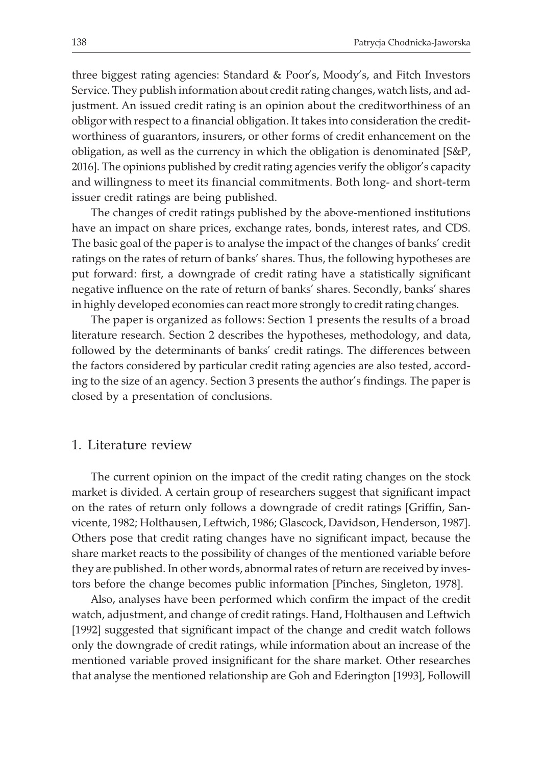three biggest rating agencies: Standard & Poor's, Moody's, and Fitch Investors Service. They publish information about credit rating changes, watch lists, and adjustment. An issued credit rating is an opinion about the creditworthiness of an obligor with respect to a financial obligation. It takes into consideration the creditworthiness of guarantors, insurers, or other forms of credit enhancement on the obligation, as well as the currency in which the obligation is denominated [S&P, 2016]. The opinions published by credit rating agencies verify the obligor's capacity and willingness to meet its financial commitments. Both long- and short-term issuer credit ratings are being published.

The changes of credit ratings published by the above-mentioned institutions have an impact on share prices, exchange rates, bonds, interest rates, and CDS. The basic goal of the paper is to analyse the impact of the changes of banks' credit ratings on the rates of return of banks' shares. Thus, the following hypotheses are put forward: first, a downgrade of credit rating have a statistically significant negative influence on the rate of return of banks' shares. Secondly, banks' shares in highly developed economies can react more strongly to credit rating changes.

The paper is organized as follows: Section 1 presents the results of a broad literature research. Section 2 describes the hypotheses, methodology, and data, followed by the determinants of banks' credit ratings. The differences between the factors considered by particular credit rating agencies are also tested, according to the size of an agency. Section 3 presents the author's findings. The paper is closed by a presentation of conclusions.

#### 1. Literature review

The current opinion on the impact of the credit rating changes on the stock market is divided. A certain group of researchers suggest that significant impact on the rates of return only follows a downgrade of credit ratings [Griffin, Sanvicente, 1982; Holthausen, Leftwich, 1986; Glascock, Davidson, Henderson, 1987]. Others pose that credit rating changes have no significant impact, because the share market reacts to the possibility of changes of the mentioned variable before they are published. In other words, abnormal rates of return are received by investors before the change becomes public information [Pinches, Singleton, 1978].

Also, analyses have been performed which confirm the impact of the credit watch, adjustment, and change of credit ratings. Hand, Holthausen and Leftwich [1992] suggested that significant impact of the change and credit watch follows only the downgrade of credit ratings, while information about an increase of the mentioned variable proved insignificant for the share market. Other researches that analyse the mentioned relationship are Goh and Ederington [1993], Followill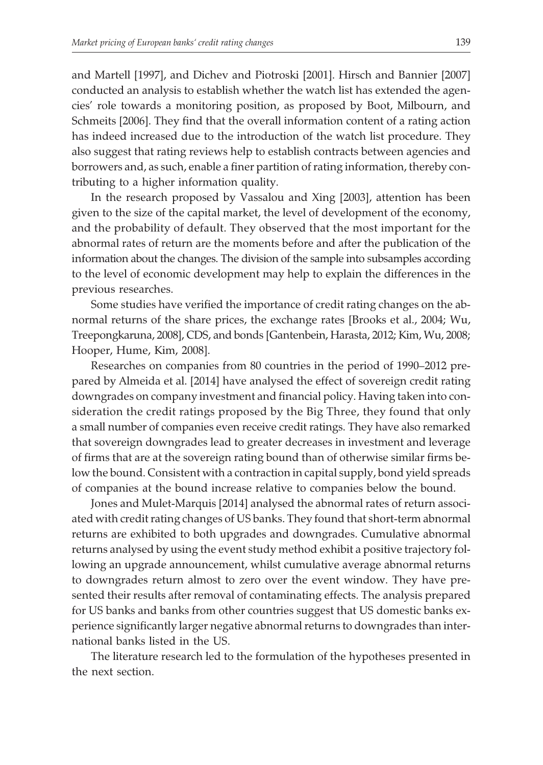and Martell [1997], and Dichev and Piotroski [2001]. Hirsch and Bannier [2007] conducted an analysis to establish whether the watch list has extended the agencies' role towards a monitoring position, as proposed by Boot, Milbourn, and Schmeits [2006]. They find that the overall information content of a rating action has indeed increased due to the introduction of the watch list procedure. They also suggest that rating reviews help to establish contracts between agencies and borrowers and, as such, enable a finer partition of rating information, thereby contributing to a higher information quality.

In the research proposed by Vassalou and Xing [2003], attention has been given to the size of the capital market, the level of development of the economy, and the probability of default. They observed that the most important for the abnormal rates of return are the moments before and after the publication of the information about the changes. The division of the sample into subsamples according to the level of economic development may help to explain the differences in the previous researches.

Some studies have verified the importance of credit rating changes on the abnormal returns of the share prices, the exchange rates [Brooks et al., 2004; Wu, Treepongkaruna, 2008], CDS, and bonds [Gantenbein, Harasta, 2012; Kim, Wu, 2008; Hooper, Hume, Kim, 2008].

Researches on companies from 80 countries in the period of 1990–2012 prepared by Almeida et al. [2014] have analysed the effect of sovereign credit rating downgrades on company investment and financial policy. Having taken into consideration the credit ratings proposed by the Big Three, they found that only a small number of companies even receive credit ratings. They have also remarked that sovereign downgrades lead to greater decreases in investment and leverage of firms that are at the sovereign rating bound than of otherwise similar firms below the bound. Consistent with a contraction in capital supply, bond yield spreads of companies at the bound increase relative to companies below the bound.

Jones and Mulet-Marquis [2014] analysed the abnormal rates of return associated with credit rating changes of US banks. They found that short-term abnormal returns are exhibited to both upgrades and downgrades. Cumulative abnormal returns analysed by using the event study method exhibit a positive trajectory following an upgrade announcement, whilst cumulative average abnormal returns to downgrades return almost to zero over the event window. They have presented their results after removal of contaminating effects. The analysis prepared for US banks and banks from other countries suggest that US domestic banks experience significantly larger negative abnormal returns to downgrades than international banks listed in the US.

The literature research led to the formulation of the hypotheses presented in the next section.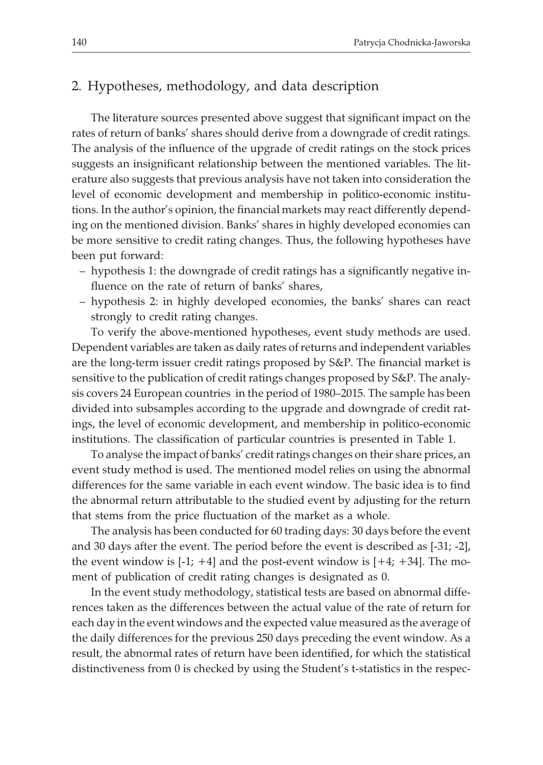#### 2. Hypotheses, methodology, and data description

The literature sources presented above suggest that significant impact on the rates of return of banks' shares should derive from a downgrade of credit ratings. The analysis of the influence of the upgrade of credit ratings on the stock prices suggests an insignificant relationship between the mentioned variables. The literature also suggests that previous analysis have not taken into consideration the level of economic development and membership in politico-economic institutions. In the author's opinion, the financial markets may react differently depending on the mentioned division. Banks' shares in highly developed economies can be more sensitive to credit rating changes. Thus, the following hypotheses have been put forward:

- hypothesis 1: the downgrade of credit ratings has a significantly negative influence on the rate of return of banks' shares,
- hypothesis 2: in highly developed economies, the banks' shares can react strongly to credit rating changes.

To verify the above-mentioned hypotheses, event study methods are used. Dependent variables are taken as daily rates of returns and independent variables are the long-term issuer credit ratings proposed by S&P. The financial market is sensitive to the publication of credit ratings changes proposed by S&P. The analysis covers 24 European countries in the period of 1980–2015. The sample has been divided into subsamples according to the upgrade and downgrade of credit ratings, the level of economic development, and membership in politico-economic institutions. The classification of particular countries is presented in Table 1.

To analyse the impact of banks' credit ratings changes on their share prices, an event study method is used. The mentioned model relies on using the abnormal differences for the same variable in each event window. The basic idea is to find the abnormal return attributable to the studied event by adjusting for the return that stems from the price fluctuation of the market as a whole.

The analysis has been conducted for 60 trading days: 30 days before the event and 30 days after the event. The period before the event is described as [-31; -2], the event window is  $[-1; +4]$  and the post-event window is  $[+4; +34]$ . The moment of publication of credit rating changes is designated as 0.

In the event study methodology, statistical tests are based on abnormal differences taken as the differences between the actual value of the rate of return for each day in the event windows and the expected value measured as the average of the daily differences for the previous 250 days preceding the event window. As a result, the abnormal rates of return have been identified, for which the statistical distinctiveness from 0 is checked by using the Student's t-statistics in the respec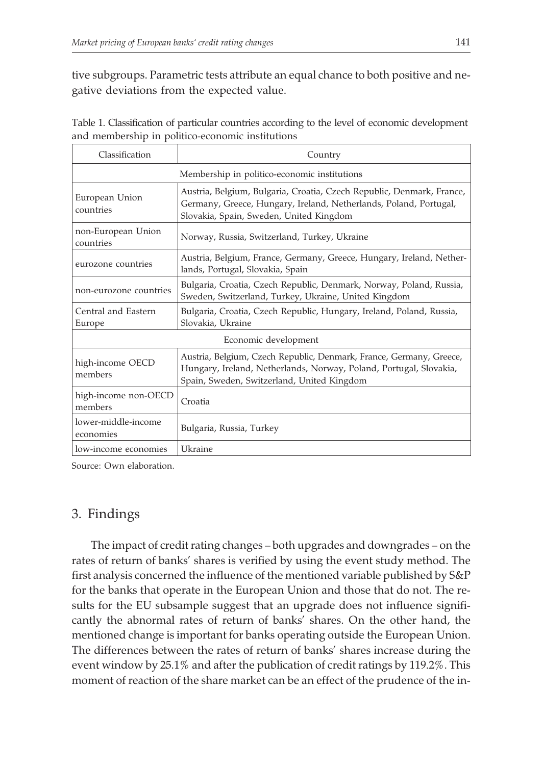tive subgroups. Parametric tests attribute an equal chance to both positive and negative deviations from the expected value.

| Classification                               | Country                                                                                                                                                                                 |  |  |  |  |
|----------------------------------------------|-----------------------------------------------------------------------------------------------------------------------------------------------------------------------------------------|--|--|--|--|
| Membership in politico-economic institutions |                                                                                                                                                                                         |  |  |  |  |
| European Union<br>countries                  | Austria, Belgium, Bulgaria, Croatia, Czech Republic, Denmark, France,<br>Germany, Greece, Hungary, Ireland, Netherlands, Poland, Portugal,<br>Slovakia, Spain, Sweden, United Kingdom   |  |  |  |  |
| non-European Union<br>countries              | Norway, Russia, Switzerland, Turkey, Ukraine                                                                                                                                            |  |  |  |  |
| eurozone countries                           | Austria, Belgium, France, Germany, Greece, Hungary, Ireland, Nether-<br>lands, Portugal, Slovakia, Spain                                                                                |  |  |  |  |
| non-eurozone countries                       | Bulgaria, Croatia, Czech Republic, Denmark, Norway, Poland, Russia,<br>Sweden, Switzerland, Turkey, Ukraine, United Kingdom                                                             |  |  |  |  |
| Central and Eastern<br>Europe                | Bulgaria, Croatia, Czech Republic, Hungary, Ireland, Poland, Russia,<br>Slovakia, Ukraine                                                                                               |  |  |  |  |
| Economic development                         |                                                                                                                                                                                         |  |  |  |  |
| high-income OECD<br>members                  | Austria, Belgium, Czech Republic, Denmark, France, Germany, Greece,<br>Hungary, Ireland, Netherlands, Norway, Poland, Portugal, Slovakia,<br>Spain, Sweden, Switzerland, United Kingdom |  |  |  |  |
| high-income non-OECD<br>members              | Croatia                                                                                                                                                                                 |  |  |  |  |
| lower-middle-income<br>economies             | Bulgaria, Russia, Turkey                                                                                                                                                                |  |  |  |  |
| low-income economies                         | Ukraine                                                                                                                                                                                 |  |  |  |  |

Table 1. Classification of particular countries according to the level of economic development and membership in politico-economic institutions

Source: Own elaboration.

## 3. Findings

The impact of credit rating changes – both upgrades and downgrades – on the rates of return of banks' shares is verified by using the event study method. The first analysis concerned the influence of the mentioned variable published by S&P for the banks that operate in the European Union and those that do not. The results for the EU subsample suggest that an upgrade does not influence significantly the abnormal rates of return of banks' shares. On the other hand, the mentioned change is important for banks operating outside the European Union. The differences between the rates of return of banks' shares increase during the event window by 25.1% and after the publication of credit ratings by 119.2%. This moment of reaction of the share market can be an effect of the prudence of the in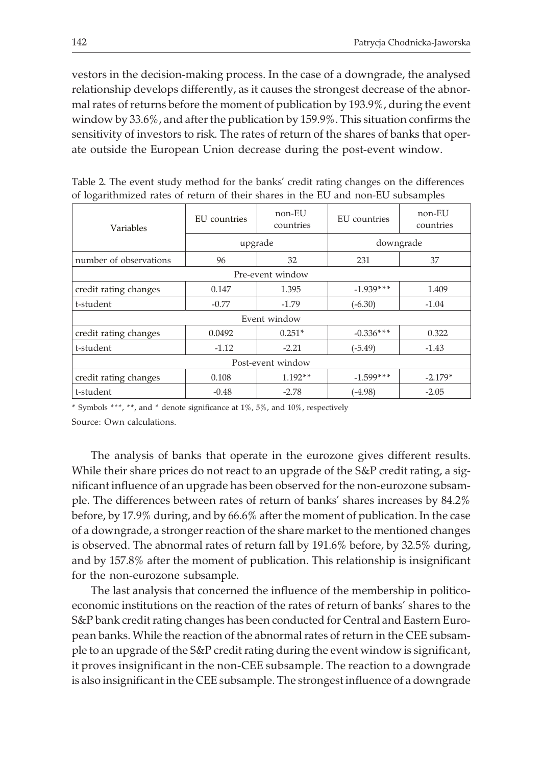vestors in the decision-making process. In the case of a downgrade, the analysed relationship develops differently, as it causes the strongest decrease of the abnormal rates of returns before the moment of publication by 193.9%, during the event window by 33.6%, and after the publication by 159.9%. This situation confirms the sensitivity of investors to risk. The rates of return of the shares of banks that operate outside the European Union decrease during the post-event window.

| Variables              | EU countries | non-EU<br>countries | EU countries | non-EU<br>countries |  |  |  |
|------------------------|--------------|---------------------|--------------|---------------------|--|--|--|
|                        |              | upgrade             | downgrade    |                     |  |  |  |
| number of observations | 96           | 32                  | 231          | 37                  |  |  |  |
| Pre-event window       |              |                     |              |                     |  |  |  |
| credit rating changes  | 0.147        | 1.395               | $-1.939***$  | 1.409               |  |  |  |
| t-student              | $-0.77$      | $-1.79$             | $(-6.30)$    | $-1.04$             |  |  |  |
| Event window           |              |                     |              |                     |  |  |  |
| credit rating changes  | 0.0492       | $0.251*$            | $-0.336***$  | 0.322               |  |  |  |
| t-student              | $-1.12$      | $-2.21$             | $(-5.49)$    | $-1.43$             |  |  |  |
| Post-event window      |              |                     |              |                     |  |  |  |
| credit rating changes  | 0.108        | $1.192**$           | $-1.599***$  | $-2.179*$           |  |  |  |
| t-student              | $-0.48$      |                     | $(-4.98)$    | $-2.05$             |  |  |  |

Table 2. The event study method for the banks' credit rating changes on the differences of logarithmized rates of return of their shares in the EU and non-EU subsamples

\* Symbols \*\*\*, \*\*, and \* denote significance at 1%, 5%, and 10%, respectively

Source: Own calculations.

The analysis of banks that operate in the eurozone gives different results. While their share prices do not react to an upgrade of the S&P credit rating, a significant influence of an upgrade has been observed for the non-eurozone subsample. The differences between rates of return of banks' shares increases by 84.2% before, by 17.9% during, and by 66.6% after the moment of publication. In the case of a downgrade, a stronger reaction of the share market to the mentioned changes is observed. The abnormal rates of return fall by 191.6% before, by 32.5% during, and by 157.8% after the moment of publication. This relationship is insignificant for the non-eurozone subsample.

The last analysis that concerned the influence of the membership in politicoeconomic institutions on the reaction of the rates of return of banks' shares to the S&P bank credit rating changes has been conducted for Central and Eastern European banks. While the reaction of the abnormal rates of return in the CEE subsample to an upgrade of the S&P credit rating during the event window is significant, it proves insignificant in the non-CEE subsample. The reaction to a downgrade is also insignificant in the CEE subsample. The strongest influence of a downgrade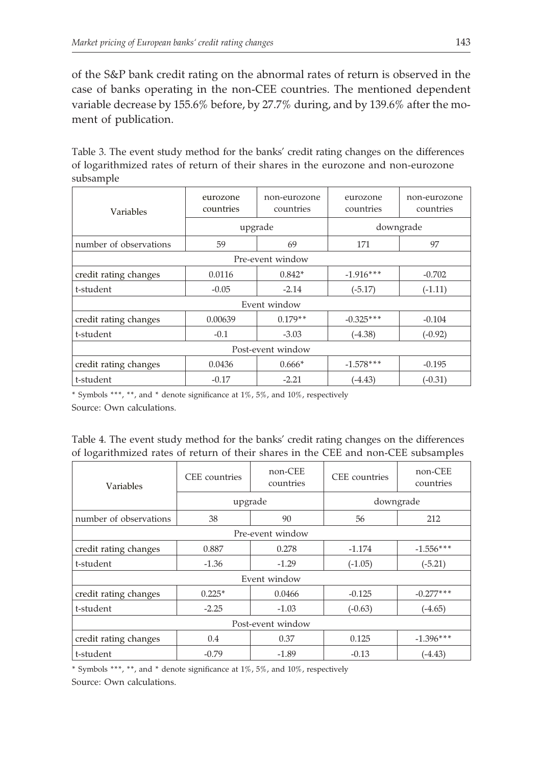of the S&P bank credit rating on the abnormal rates of return is observed in the case of banks operating in the non-CEE countries. The mentioned dependent variable decrease by 155.6% before, by 27.7% during, and by 139.6% after the moment of publication.

Table 3. The event study method for the banks' credit rating changes on the differences of logarithmized rates of return of their shares in the eurozone and non-eurozone subsample

| Variables              | eurozone<br>countries | non-eurozone<br>countries | eurozone<br>countries | non-eurozone<br>countries |  |  |
|------------------------|-----------------------|---------------------------|-----------------------|---------------------------|--|--|
|                        |                       | upgrade                   | downgrade             |                           |  |  |
| number of observations | 59                    | 69                        | 171                   | 97                        |  |  |
| Pre-event window       |                       |                           |                       |                           |  |  |
| credit rating changes  | 0.0116                | $0.842*$                  | $-1.916***$           | $-0.702$                  |  |  |
| t-student              | $-0.05$               | $-2.14$                   | $(-5.17)$             | $(-1.11)$                 |  |  |
| Event window           |                       |                           |                       |                           |  |  |
| credit rating changes  | $0.179**$<br>0.00639  |                           | $-0.325***$           | $-0.104$                  |  |  |
| t-student              | $-0.1$                | $-3.03$                   | $(-4.38)$             | $(-0.92)$                 |  |  |
| Post-event window      |                       |                           |                       |                           |  |  |
| credit rating changes  | $0.666*$<br>0.0436    |                           | $-1.578***$           | $-0.195$                  |  |  |
| t-student              | $-0.17$               |                           | (-4.43)               | $(-0.31)$                 |  |  |

\* Symbols \*\*\*, \*\*, and \* denote significance at 1%, 5%, and 10%, respectively Source: Own calculations.

Table 4. The event study method for the banks' credit rating changes on the differences of logarithmized rates of return of their shares in the CEE and non-CEE subsamples

| Variables                                   | CEE countries  | non-CEE<br>countries | CEE countries | non-CEE<br>countries |  |  |
|---------------------------------------------|----------------|----------------------|---------------|----------------------|--|--|
|                                             |                | upgrade              | downgrade     |                      |  |  |
| number of observations                      | 38             | 90                   | 56            | 212                  |  |  |
| Pre-event window                            |                |                      |               |                      |  |  |
| credit rating changes                       | 0.887<br>0.278 |                      | $-1.174$      | $-1.556***$          |  |  |
| t-student                                   | $-1.36$        | $-1.29$              | $(-1.05)$     | $(-5.21)$            |  |  |
| Event window                                |                |                      |               |                      |  |  |
| credit rating changes<br>$0.225*$<br>0.0466 |                |                      | $-0.125$      | $-0.277***$          |  |  |
| t-student                                   | $-2.25$        |                      | $(-0.63)$     | $(-4.65)$            |  |  |
| Post-event window                           |                |                      |               |                      |  |  |
| credit rating changes                       | 0.4            | 0.37                 | 0.125         | $-1.396***$          |  |  |
| $-0.79$<br>t-student                        |                | $-1.89$              | $-0.13$       | $(-4.43)$            |  |  |

\* Symbols \*\*\*, \*\*, and \* denote significance at 1%, 5%, and 10%, respectively Source: Own calculations.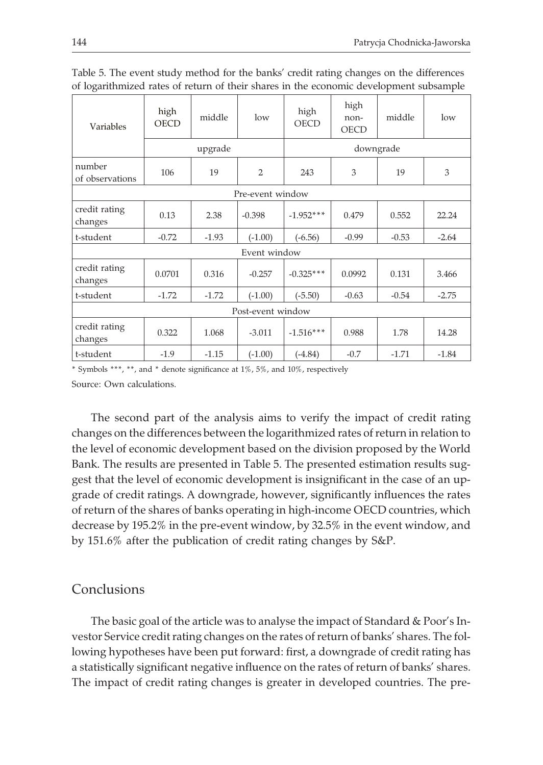| Variables                 | high<br>OECD | middle  | low       | high<br><b>OECD</b> | high<br>non-<br><b>OECD</b> | middle  | low     |
|---------------------------|--------------|---------|-----------|---------------------|-----------------------------|---------|---------|
|                           | upgrade      |         |           | downgrade           |                             |         |         |
| number<br>of observations | 106          | 19      | 2         | 243                 | 3                           | 19      | 3       |
| Pre-event window          |              |         |           |                     |                             |         |         |
| credit rating<br>changes  | 0.13         | 2.38    | $-0.398$  | $-1.952***$         | 0.479                       | 0.552   | 22.24   |
| t-student                 | $-0.72$      | $-1.93$ | $(-1.00)$ | $(-6.56)$           | $-0.99$                     | $-0.53$ | $-2.64$ |
| Event window              |              |         |           |                     |                             |         |         |
| credit rating<br>changes  | 0.0701       | 0.316   | $-0.257$  | $-0.325***$         | 0.0992                      | 0.131   | 3.466   |
| t-student                 | $-1.72$      | $-1.72$ | $(-1.00)$ | $(-5.50)$           | $-0.63$                     | $-0.54$ | $-2.75$ |
| Post-event window         |              |         |           |                     |                             |         |         |
| credit rating<br>changes  | 0.322        | 1.068   | $-3.011$  | $-1.516***$         | 0.988                       | 1.78    | 14.28   |
| t-student                 | $-1.9$       | $-1.15$ | $(-1.00)$ | $(-4.84)$           | $-0.7$                      | $-1.71$ | $-1.84$ |

Table 5. The event study method for the banks' credit rating changes on the differences of logarithmized rates of return of their shares in the economic development subsample

\* Symbols \*\*\*, \*\*, and \* denote significance at 1%, 5%, and 10%, respectively Source: Own calculations.

The second part of the analysis aims to verify the impact of credit rating changes on the differences between the logarithmized rates of return in relation to the level of economic development based on the division proposed by the World Bank. The results are presented in Table 5. The presented estimation results suggest that the level of economic development is insignificant in the case of an upgrade of credit ratings. A downgrade, however, significantly influences the rates of return of the shares of banks operating in high-income OECD countries, which decrease by 195.2% in the pre-event window, by 32.5% in the event window, and by 151.6% after the publication of credit rating changes by S&P.

### Conclusions

The basic goal of the article was to analyse the impact of Standard & Poor's Investor Service credit rating changes on the rates of return of banks' shares. The following hypotheses have been put forward: first, a downgrade of credit rating has a statistically significant negative influence on the rates of return of banks' shares. The impact of credit rating changes is greater in developed countries. The pre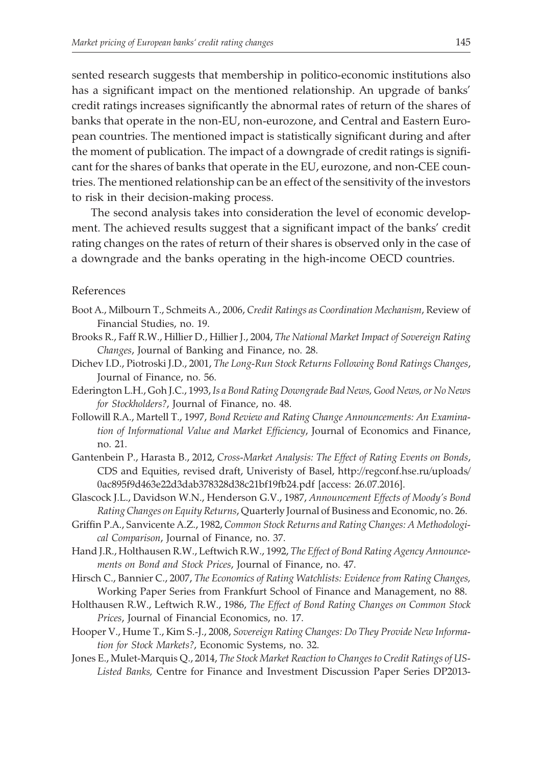sented research suggests that membership in politico-economic institutions also has a significant impact on the mentioned relationship. An upgrade of banks' credit ratings increases significantly the abnormal rates of return of the shares of banks that operate in the non-EU, non-eurozone, and Central and Eastern European countries. The mentioned impact is statistically significant during and after the moment of publication. The impact of a downgrade of credit ratings is significant for the shares of banks that operate in the EU, eurozone, and non-CEE countries. The mentioned relationship can be an effect of the sensitivity of the investors to risk in their decision-making process.

The second analysis takes into consideration the level of economic development. The achieved results suggest that a significant impact of the banks' credit rating changes on the rates of return of their shares is observed only in the case of a downgrade and the banks operating in the high-income OECD countries.

#### References

- Boot A., Milbourn T., Schmeits A., 2006, *Credit Ratings as Coordination Mechanism*, Review of Financial Studies, no. 19.
- Brooks R., Faff R.W., Hillier D., Hillier J., 2004, *The National Market Impact of Sovereign Rating Changes*, Journal of Banking and Finance, no. 28.
- Dichev I.D., Piotroski J.D., 2001, *The Long-Run Stock Returns Following Bond Ratings Changes*, Journal of Finance, no. 56.
- Ederington L.H., Goh J.C., 1993, *Is a Bond Rating Downgrade Bad News, Good News, or No News for Stockholders?*, Journal of Finance, no. 48.
- Followill R.A., Martell T., 1997, *Bond Review and Rating Change Announcements: An Examination of Informational Value and Market Efficiency*, Journal of Economics and Finance, no. 21.
- Gantenbein P., Harasta B., 2012, *Cross-Market Analysis: The Effect of Rating Events on Bonds*, CDS and Equities, revised draft, Univeristy of Basel, http://regconf.hse.ru/uploads/ 0ac895f9d463e22d3dab378328d38c21bf19fb24.pdf [access: 26.07.2016].
- Glascock J.L., Davidson W.N., Henderson G.V., 1987, *Announcement Effects of Moody's Bond Rating Changes on Equity Returns*, Quarterly Journal of Business and Economic, no. 26.
- Griffin P.A., Sanvicente A.Z., 1982, *Common Stock Returns and Rating Changes: A Methodological Comparison*, Journal of Finance, no. 37.
- Hand J.R., Holthausen R.W., Leftwich R.W., 1992, *The Effect of Bond Rating Agency Announcements on Bond and Stock Prices*, Journal of Finance, no. 47.
- Hirsch C., Bannier C., 2007, *The Economics of Rating Watchlists: Evidence from Rating Changes,* Working Paper Series from Frankfurt School of Finance and Management, no 88.
- Holthausen R.W., Leftwich R.W., 1986, *The Effect of Bond Rating Changes on Common Stock Prices*, Journal of Financial Economics, no. 17.
- Hooper V., Hume T., Kim S.-J., 2008, *Sovereign Rating Changes: Do They Provide New Information for Stock Markets?*, Economic Systems, no. 32.
- Jones E., Mulet-Marquis Q., 2014, *The Stock Market Reaction to Changes to Credit Ratings of US-Listed Banks,* Centre for Finance and Investment Discussion Paper Series DP2013-